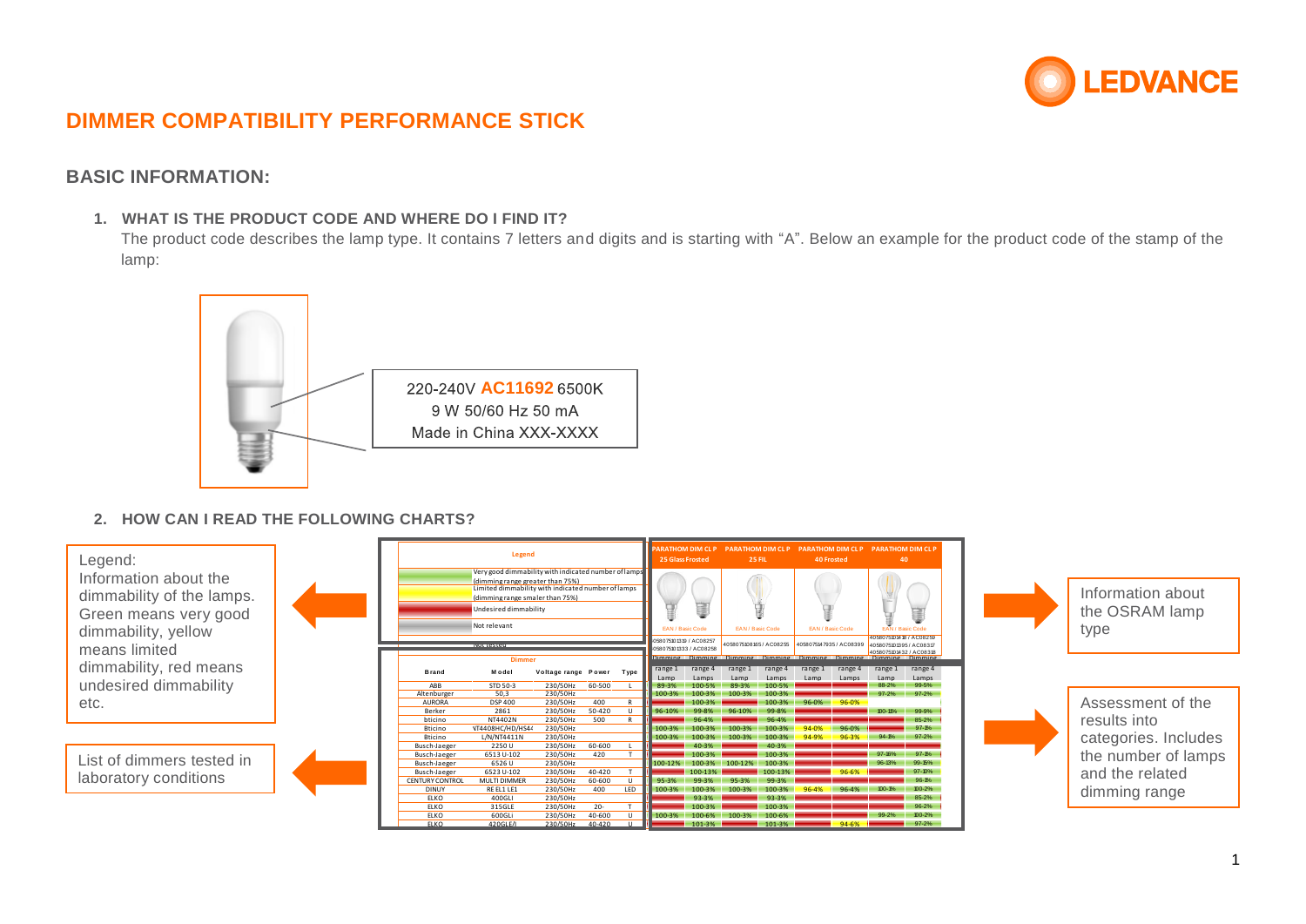

### **BASIC INFORMATION:**

1 WHAT IS THE PRODUCT CODE AND WHERE DO I FIND IT?

The product code describes the lamp type. It contains 7 letters and digits and is starting with "A". Below an example for the product code of the stamp of the lamp:



### 2. HOW CAN I READ THE FOLLOWING CHARTS?

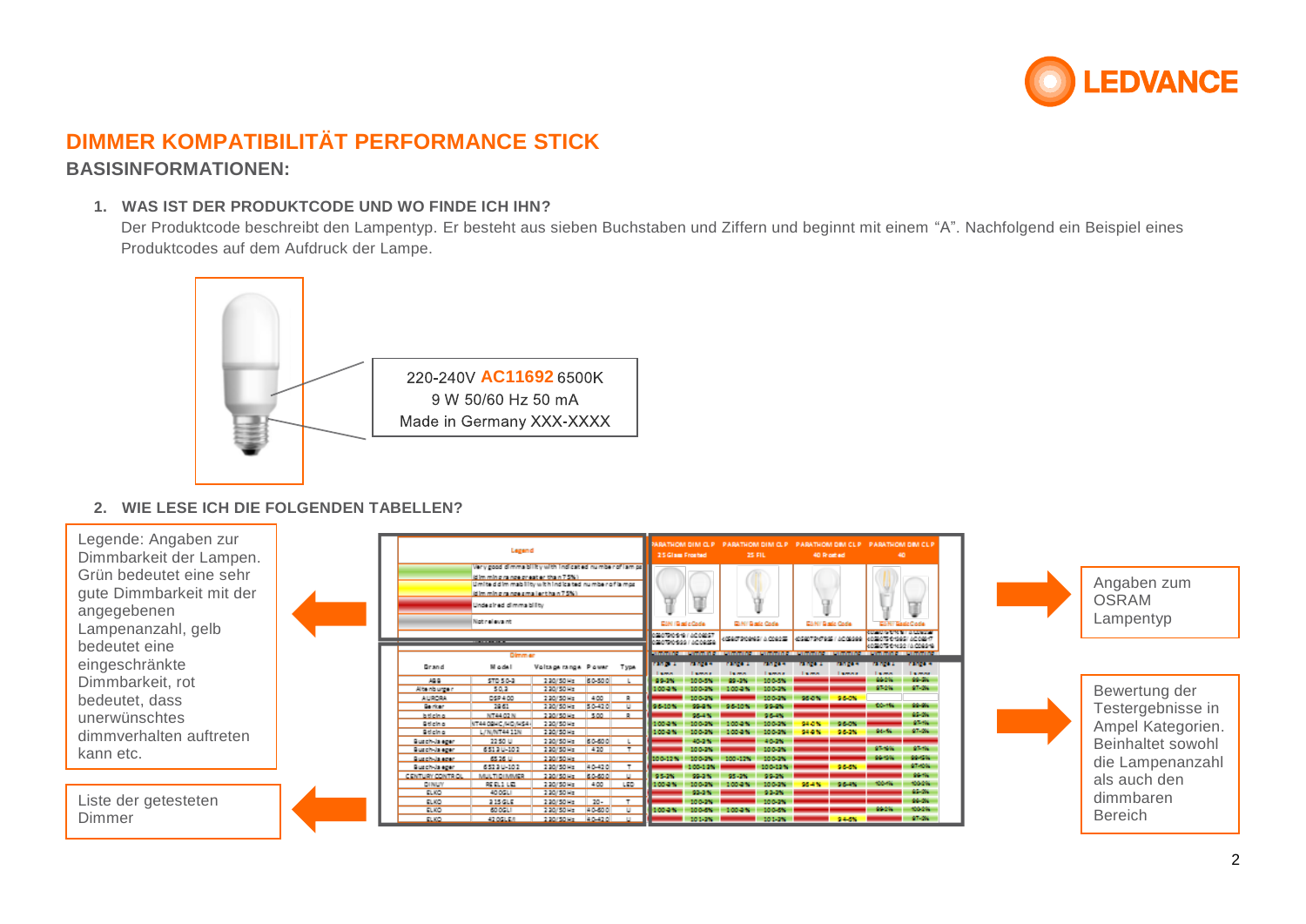

# **DIMMER KOMPATIBILITÄT PERFORMANCE STICK BASISINFORMATIONEN:**

### **1. WAS IST DER PRODUKTCODE UND WO FINDE ICH IHN?**

Der Produktcode beschreibt den Lampentyp. Er besteht aus sieben Buchstaben und Ziffern und beginnt mit einem "A". Nachfolgend ein Beispiel eines Produktcodes auf dem Aufdruck der Lampe.



### **2. WIE LESE ICH DIE FOLGENDEN TABELLEN?**

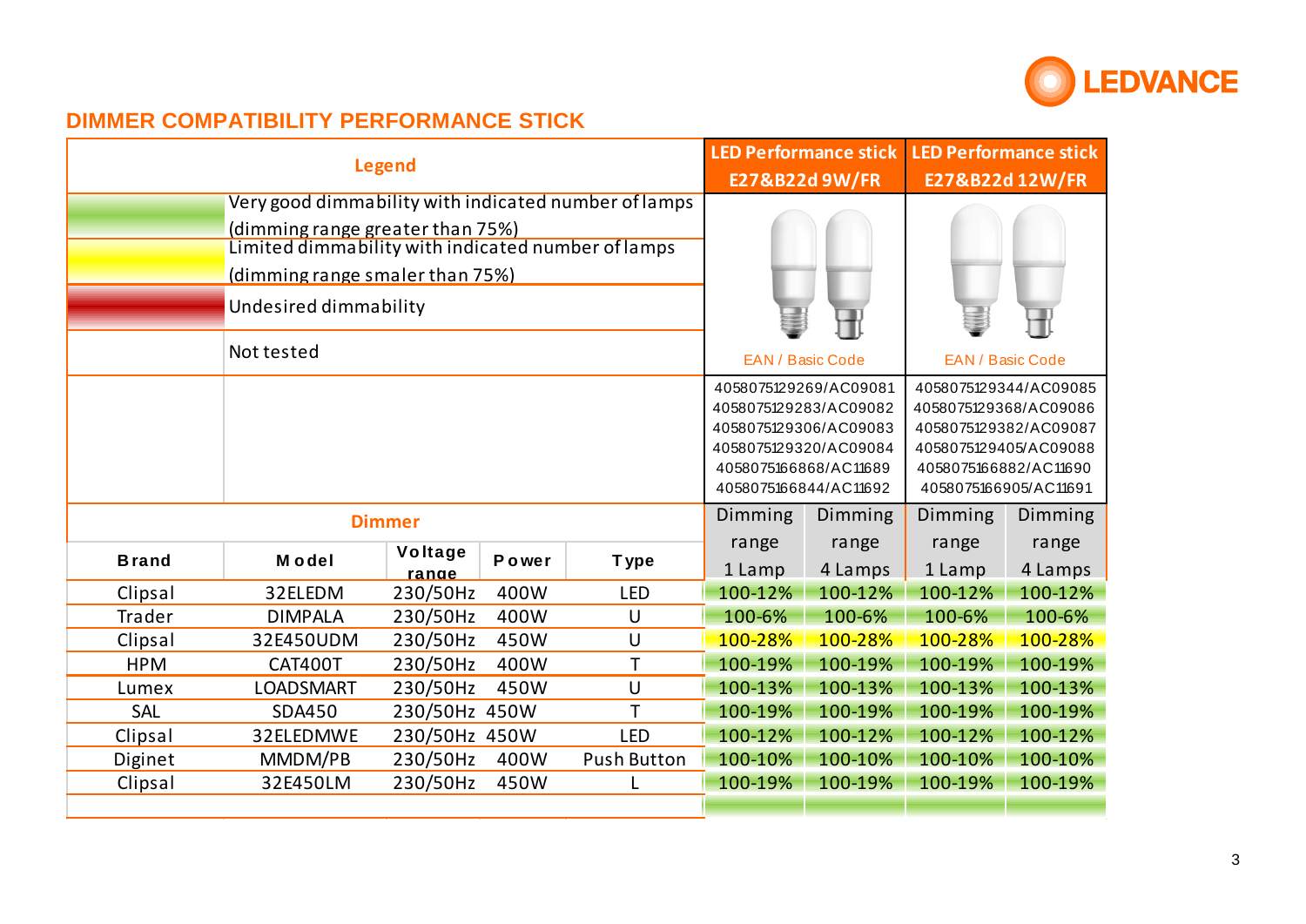

| <b>Legend</b> |                                                      |               |                       |                    |                                                | <b>LED Performance stick</b> |                                                | <b>LED Performance stick</b> |  |
|---------------|------------------------------------------------------|---------------|-----------------------|--------------------|------------------------------------------------|------------------------------|------------------------------------------------|------------------------------|--|
|               |                                                      |               |                       |                    |                                                | <b>E27&amp;B22d9W/FR</b>     |                                                | E27&B22d 12W/FR              |  |
|               | Very good dimmability with indicated number of lamps |               |                       |                    |                                                |                              |                                                |                              |  |
|               | (dimming range greater than 75%)                     |               |                       |                    |                                                |                              |                                                |                              |  |
|               | Limited dimmability with indicated number of lamps   |               |                       |                    |                                                |                              |                                                |                              |  |
|               | (dimming range smaler than 75%)                      |               |                       |                    |                                                |                              |                                                |                              |  |
|               | Undesired dimmability                                |               |                       |                    |                                                |                              |                                                |                              |  |
|               |                                                      |               |                       |                    |                                                |                              |                                                |                              |  |
|               | Not tested                                           |               |                       |                    | <b>EAN / Basic Code</b>                        |                              | EAN / Basic Code                               |                              |  |
|               |                                                      |               |                       |                    | 4058075129269/AC09081                          |                              | 4058075129344/AC09085                          |                              |  |
|               |                                                      |               |                       |                    | 4058075129283/AC09082<br>4058075129306/AC09083 |                              | 4058075129368/AC09086<br>4058075129382/AC09087 |                              |  |
|               |                                                      |               |                       |                    | 4058075129320/AC09084                          |                              | 4058075129405/AC09088                          |                              |  |
|               |                                                      |               |                       |                    | 4058075166868/AC11689                          |                              | 4058075166882/AC11690                          |                              |  |
|               |                                                      |               | 4058075166844/AC11692 |                    | 4058075166905/AC11691                          |                              |                                                |                              |  |
|               | <b>Dimmer</b>                                        |               |                       |                    |                                                | Dimming                      | Dimming                                        | Dimming                      |  |
| <b>Brand</b>  | M o del                                              | Voltage       |                       |                    | range                                          | range                        | range                                          | range                        |  |
|               |                                                      | range         | Power                 | <b>Type</b>        | 1 Lamp                                         | 4 Lamps                      | 1 Lamp                                         | 4 Lamps                      |  |
| Clipsal       | 32ELEDM                                              | 230/50Hz      | 400W                  | <b>LED</b>         | 100-12%                                        | 100-12%                      | 100-12%                                        | 100-12%                      |  |
| Trader        | <b>DIMPALA</b>                                       | 230/50Hz      | 400W                  | $\cup$             | 100-6%                                         | 100-6%                       | 100-6%                                         | 100-6%                       |  |
| Clipsal       | 32E450UDM                                            | 230/50Hz      | 450W                  | U                  | 100-28%                                        | 100-28%                      | 100-28%                                        | 100-28%                      |  |
| <b>HPM</b>    | <b>CAT400T</b>                                       | 230/50Hz      | 400W                  | T                  | 100-19%                                        | 100-19%                      | 100-19%                                        | 100-19%                      |  |
| Lumex         | <b>LOADSMART</b>                                     | 230/50Hz      | 450W                  | $\cup$             | 100-13%                                        | 100-13%                      | 100-13%                                        | 100-13%                      |  |
| SAL           | <b>SDA450</b>                                        | 230/50Hz 450W |                       | T                  | 100-19%                                        | 100-19%                      | 100-19%                                        | 100-19%                      |  |
| Clipsal       | 32ELEDMWE                                            | 230/50Hz 450W |                       | <b>LED</b>         | 100-12%                                        | 100-12%                      | 100-12%                                        | 100-12%                      |  |
| Diginet       | MMDM/PB                                              | 230/50Hz      | 400W                  | <b>Push Button</b> | 100-10%                                        | 100-10%                      | 100-10%                                        | 100-10%                      |  |
| Clipsal       | 32E450LM                                             | 230/50Hz      | 450W                  |                    | 100-19%                                        | 100-19%                      | 100-19%                                        | 100-19%                      |  |
|               |                                                      |               |                       |                    |                                                |                              |                                                |                              |  |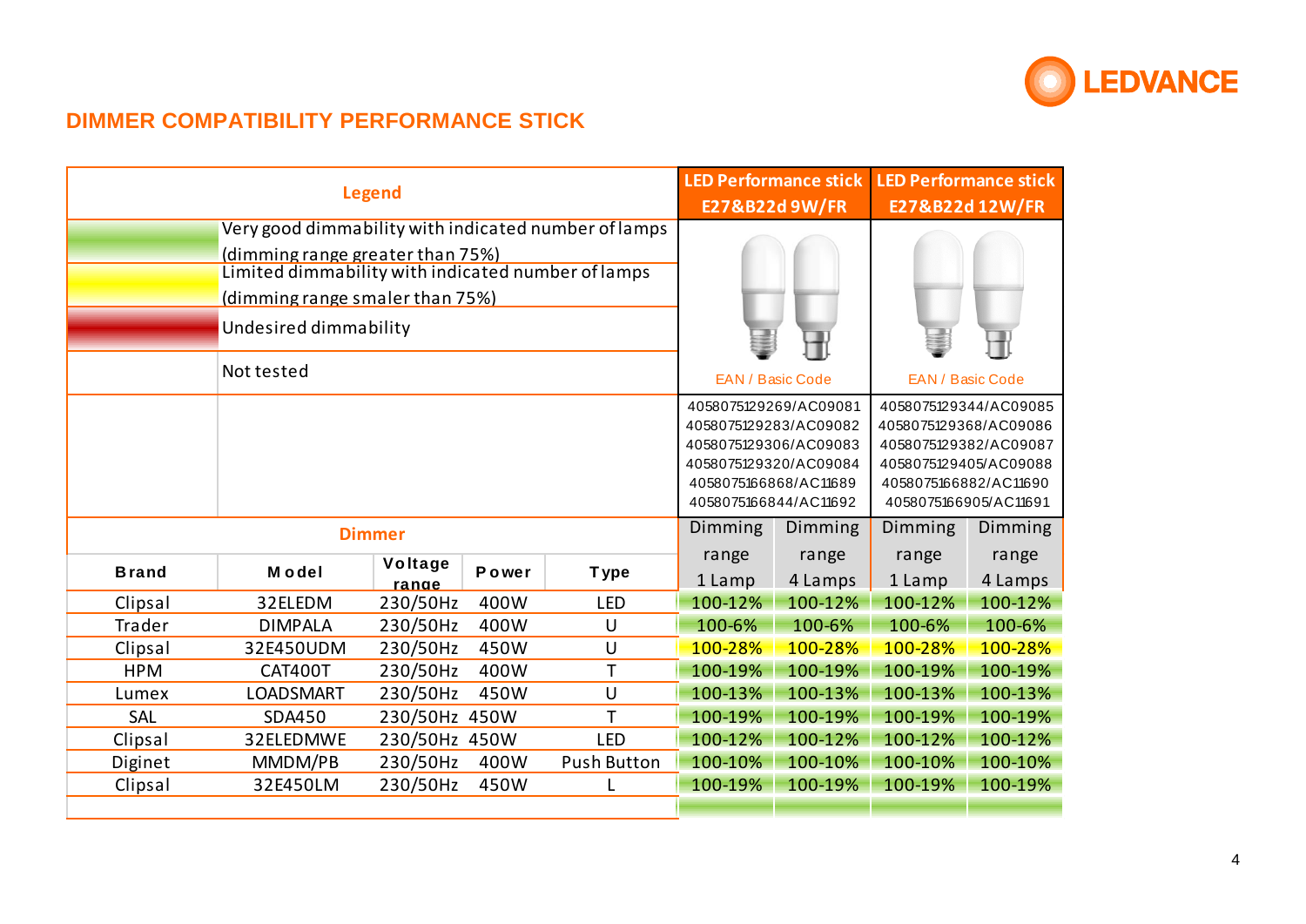

|              | <b>LED Performance stick</b><br><b>E27&amp;B22d 9W/FR</b> |                       | LED Performance stick<br>E27&B22d 12W/FR |                       |                                                |                         |                                                |                         |  |
|--------------|-----------------------------------------------------------|-----------------------|------------------------------------------|-----------------------|------------------------------------------------|-------------------------|------------------------------------------------|-------------------------|--|
|              | Very good dimmability with indicated number of lamps      |                       |                                          |                       |                                                |                         |                                                |                         |  |
|              | (dimming range greater than 75%)                          |                       |                                          |                       |                                                |                         |                                                |                         |  |
|              | Limited dimmability with indicated number of lamps        |                       |                                          |                       |                                                |                         |                                                |                         |  |
|              | (dimming range smaler than 75%)                           |                       |                                          |                       |                                                |                         |                                                |                         |  |
|              | Undesired dimmability                                     |                       |                                          |                       |                                                |                         |                                                |                         |  |
|              | Not tested                                                |                       |                                          |                       |                                                | <b>EAN / Basic Code</b> |                                                | <b>EAN / Basic Code</b> |  |
|              |                                                           |                       |                                          |                       | 4058075129269/AC09081                          |                         | 4058075129344/AC09085                          |                         |  |
|              |                                                           |                       |                                          |                       | 4058075129283/AC09082                          |                         | 4058075129368/AC09086                          |                         |  |
|              |                                                           |                       |                                          |                       | 4058075129306/AC09083<br>4058075129320/AC09084 |                         | 4058075129382/AC09087<br>4058075129405/AC09088 |                         |  |
|              |                                                           |                       |                                          |                       | 4058075166868/AC11689                          |                         | 4058075166882/AC11690                          |                         |  |
|              |                                                           | 4058075166844/AC11692 |                                          | 4058075166905/AC11691 |                                                |                         |                                                |                         |  |
|              | <b>Dimmer</b>                                             |                       |                                          |                       |                                                |                         | Dimming                                        | Dimming                 |  |
|              |                                                           | Voltage               |                                          |                       | range                                          | range                   | range                                          | range                   |  |
| <b>Brand</b> | M o del                                                   | range                 | Power                                    | Type                  | 1 Lamp                                         | 4 Lamps                 | 1 Lamp                                         | 4 Lamps                 |  |
| Clipsal      | 32ELEDM                                                   | 230/50Hz              | 400W                                     | <b>LED</b>            | 100-12%                                        | 100-12%                 | 100-12%                                        | 100-12%                 |  |
| Trader       | <b>DIMPALA</b>                                            | 230/50Hz              | 400W                                     | $\cup$                | 100-6%                                         | 100-6%                  | 100-6%                                         | 100-6%                  |  |
| Clipsal      | 32E450UDM                                                 | 230/50Hz              | 450W                                     | $\cup$                | 100-28%                                        | 100-28%                 | 100-28%                                        | 100-28%                 |  |
| <b>HPM</b>   | CAT400T                                                   | 230/50Hz              | 400W                                     | T                     | 100-19%                                        | 100-19%                 | 100-19%                                        | 100-19%                 |  |
| Lumex        | <b>LOADSMART</b>                                          | 230/50Hz              | 450W                                     | U                     | 100-13%                                        | 100-13%                 | 100-13%                                        | 100-13%                 |  |
| SAL          | <b>SDA450</b>                                             | 230/50Hz 450W         |                                          | T                     | 100-19%                                        | 100-19%                 | 100-19%                                        | 100-19%                 |  |
| Clipsal      | 32ELEDMWE                                                 | 230/50Hz 450W         |                                          | <b>LED</b>            | 100-12%                                        | 100-12%                 | 100-12%                                        | 100-12%                 |  |
| Diginet      | MMDM/PB                                                   | 230/50Hz              | 400W                                     | <b>Push Button</b>    | 100-10%                                        | 100-10%                 | 100-10%                                        | 100-10%                 |  |
| Clipsal      | 32E450LM                                                  | 230/50Hz              | 450W                                     |                       | 100-19%                                        | 100-19%                 | 100-19%                                        | 100-19%                 |  |
|              |                                                           |                       |                                          |                       |                                                |                         |                                                |                         |  |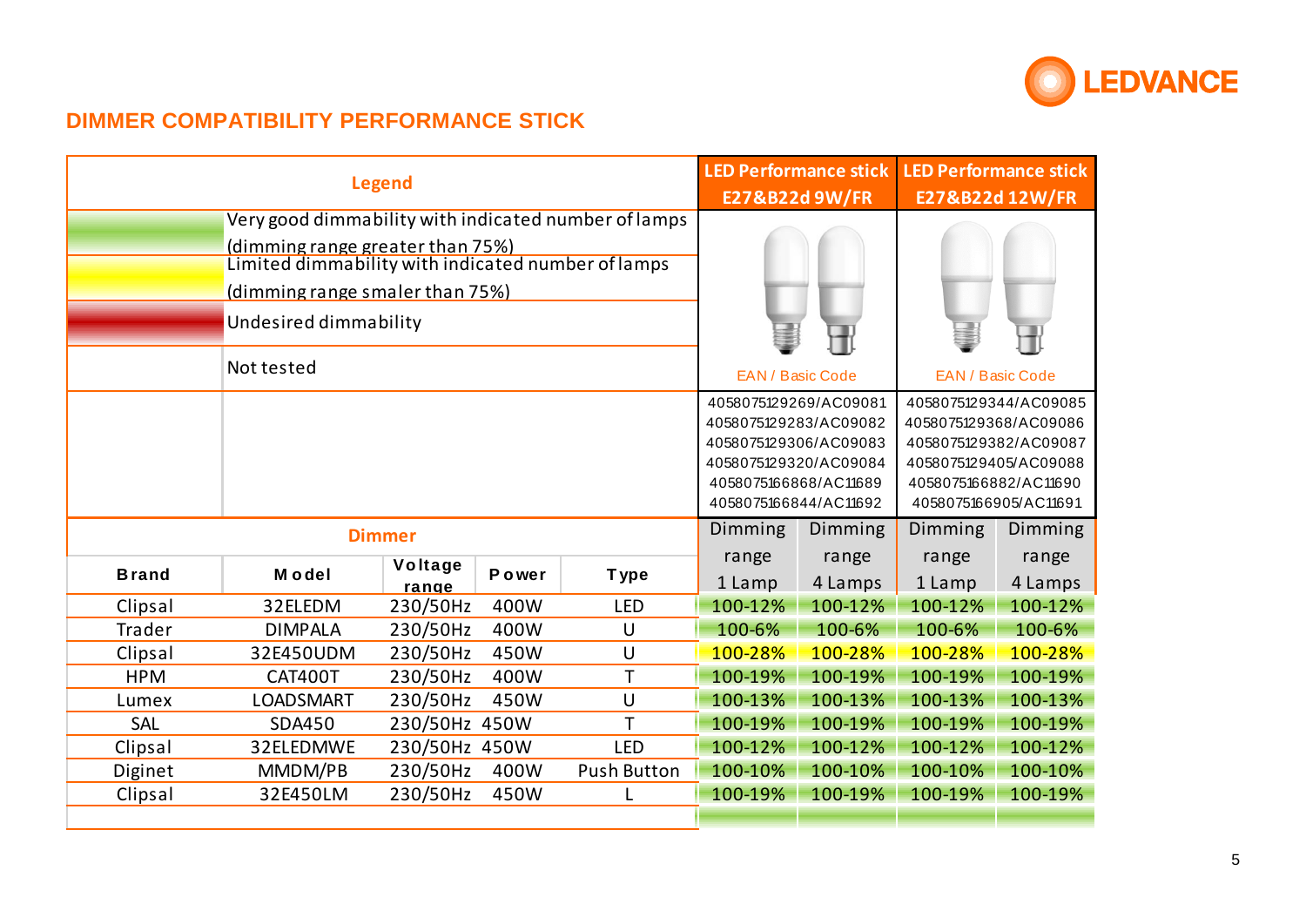

| <b>Legend</b> |                                                      |                                                                                                                                                    |       |                                                                                                                                                    |                         | <b>LED Performance stick</b><br><b>E27&amp;B22d 9W/FR</b> |                         | <b>LED Performance stick</b><br>E27&B22d 12W/FR |  |
|---------------|------------------------------------------------------|----------------------------------------------------------------------------------------------------------------------------------------------------|-------|----------------------------------------------------------------------------------------------------------------------------------------------------|-------------------------|-----------------------------------------------------------|-------------------------|-------------------------------------------------|--|
|               | Very good dimmability with indicated number of lamps |                                                                                                                                                    |       |                                                                                                                                                    |                         |                                                           |                         |                                                 |  |
|               | (dimming range greater than 75%)                     |                                                                                                                                                    |       |                                                                                                                                                    |                         |                                                           |                         |                                                 |  |
|               | Limited dimmability with indicated number of lamps   |                                                                                                                                                    |       |                                                                                                                                                    |                         |                                                           |                         |                                                 |  |
|               | (dimming range smaler than 75%)                      |                                                                                                                                                    |       |                                                                                                                                                    |                         |                                                           |                         |                                                 |  |
|               | Undesired dimmability                                |                                                                                                                                                    |       |                                                                                                                                                    |                         |                                                           |                         |                                                 |  |
|               | Not tested                                           |                                                                                                                                                    |       |                                                                                                                                                    | <b>EAN / Basic Code</b> |                                                           | <b>EAN / Basic Code</b> |                                                 |  |
|               |                                                      | 4058075129269/AC09081<br>4058075129283/AC09082<br>4058075129306/AC09083<br>4058075129320/AC09084<br>4058075166868/AC11689<br>4058075166844/AC11692 |       | 4058075129344/AC09085<br>4058075129368/AC09086<br>4058075129382/AC09087<br>4058075129405/AC09088<br>4058075166882/AC11690<br>4058075166905/AC11691 |                         |                                                           |                         |                                                 |  |
|               | <b>Dimmer</b>                                        |                                                                                                                                                    |       |                                                                                                                                                    |                         |                                                           | Dimming                 | Dimming                                         |  |
|               |                                                      |                                                                                                                                                    |       |                                                                                                                                                    | range                   | range                                                     | range                   | range                                           |  |
| <b>Brand</b>  | <b>Model</b>                                         | Voltage<br>range                                                                                                                                   | Power | T ype                                                                                                                                              | 1 Lamp                  | 4 Lamps                                                   | 1 Lamp                  | 4 Lamps                                         |  |
| Clipsal       | 32ELEDM                                              | 230/50Hz                                                                                                                                           | 400W  | <b>LED</b>                                                                                                                                         | 100-12%                 | 100-12%                                                   | 100-12%                 | 100-12%                                         |  |
| Trader        | <b>DIMPALA</b>                                       | 230/50Hz                                                                                                                                           | 400W  | $\cup$                                                                                                                                             | 100-6%                  | 100-6%                                                    | 100-6%                  | 100-6%                                          |  |
| Clipsal       | 32E450UDM                                            | 230/50Hz                                                                                                                                           | 450W  | U                                                                                                                                                  | 100-28%                 | 100-28%                                                   | 100-28%                 | 100-28%                                         |  |
| <b>HPM</b>    | <b>CAT400T</b>                                       | 230/50Hz                                                                                                                                           | 400W  | T                                                                                                                                                  | 100-19%                 | 100-19%                                                   | 100-19%                 | 100-19%                                         |  |
| Lumex         | <b>LOADSMART</b>                                     | 230/50Hz                                                                                                                                           | 450W  | U                                                                                                                                                  | 100-13%                 | 100-13%                                                   | 100-13%                 | 100-13%                                         |  |
| <b>SAL</b>    | <b>SDA450</b>                                        | 230/50Hz 450W                                                                                                                                      |       | $\mathsf{T}$                                                                                                                                       | 100-19%                 | 100-19%                                                   | 100-19%                 | 100-19%                                         |  |
| Clipsal       | 32ELEDMWE                                            | 230/50Hz 450W                                                                                                                                      |       | <b>LED</b>                                                                                                                                         | 100-12%                 | 100-12%                                                   | 100-12%                 | 100-12%                                         |  |
| Diginet       | MMDM/PB                                              | 230/50Hz                                                                                                                                           | 400W  | <b>Push Button</b>                                                                                                                                 | 100-10%                 | 100-10%                                                   | 100-10%                 | 100-10%                                         |  |
| Clipsal       | 32E450LM                                             | 230/50Hz                                                                                                                                           | 450W  | L                                                                                                                                                  | 100-19%                 | 100-19%                                                   | 100-19%                 | 100-19%                                         |  |
|               |                                                      |                                                                                                                                                    |       |                                                                                                                                                    |                         |                                                           |                         |                                                 |  |